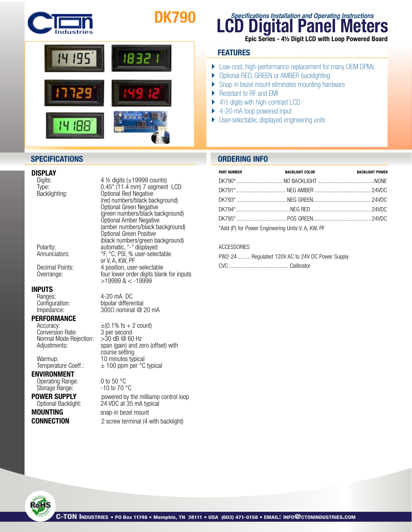

# DK790



### **DISPLAY**<br>Digits:

### **INPUTS**<br>
Ranges:

#### PERFORMANCE

 $\frac{1}{2}$  Accuracy:  $\frac{1}{2}$   $\frac{1}{2}$  are second Conversion Rate: 3 per second Conversion Rate: 3 per second<br>Normal Mode Rejection: > 30 dB @ 60 Hz Normal Mode Rejection:

ENVIRONMENT Operating Range: 0 to 50 °C<br>Storage Range: 30 -10 to 70 °C Storage Range:

**MOUNTING** snap-in bezel mount

Digits: 4 ½ digits (±19999 counts)<br>Type: 6.45" (11.4 mm) 7 segment Type: 0.45" (11.4 mm) 7 segment LCD<br>Backlighting: 0ptional Red Negative Optional Red Negative (red numbers/black background) Optional Green Negative (green numbers/black background) Optional Amber Negative (amber numbers/black background) Optional Green Positive (black numbers/green background)<br>Polarity: example automatic, "-" displayed Polarity: automatic, "-" displayed Annunciators: <sup>org</sup>, <sup>o</sup>c, PSI, % user-selectable or V, A, KW, PF<br>Decimal Points: 4 position, use 4 position, user-selectable Overrange: **four lower order digits blank for inputs**  $>19999$  &  $<$  -19999

Ranges: 4-20 mA DC<br>Configuration: bipolar differe bipolar differential Impedance:  $300\Omega$  nominal @ 20 mA

Adjustments: span (gain) and zero (offset) with course setting<br>Warmup: 10 minutes type Warmup: 10 minutes typical<br>Temperature Coeff.: ± 100 ppm per °C  $\pm$  100 ppm per °C typical

**POWER SUPPLY** powered by the milliamp control loop<br>Optional Backlight: 24 VDC at 35 mA typical 24 VDC at 35 mA typical **CONNECTION** 2 screw terminal (4 with backlight)

## **LCD Digital Panel Meters Specifications Installation and Operating Instructions**

#### Epic Series - 4½ Digit LCD with Loop Powered Board

#### **FEATURES**

- } Low-cost, high-performance replacement for many OEM DPMs
- ▶ Optional RED, GREEN or AMBER backlighting
- ▶ Snap-in bezel mount eliminates mounting hardware
- ▶ Resistant to RF and EMI
- $\blacktriangleright$  4½ digits with high-contrast LCD
- ▶ 4-20 mA loop powered input
- } User-selectable, displayed engineering units

#### **SPECIFICATIONS ORDERING INFO**

| <b>PART NUMBER</b> | <b>BACKLIGHT COLOR</b>                            | <b>BACKLIGHT POWER</b> |
|--------------------|---------------------------------------------------|------------------------|
|                    |                                                   |                        |
|                    |                                                   |                        |
|                    |                                                   |                        |
|                    |                                                   |                        |
|                    |                                                   |                        |
|                    | *Add (P) for Power Engineering Units V, A, KW, PF |                        |

**ACCESSORIES** 

| PW2-24  Regulated 120V AC to 24V DC Power Supply |  |
|--------------------------------------------------|--|
|                                                  |  |